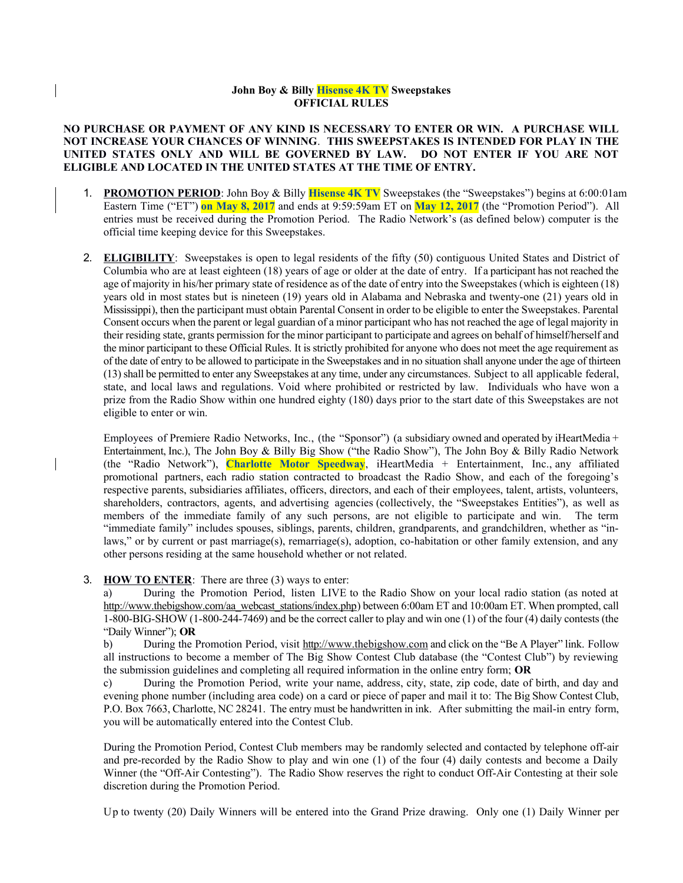## **John Boy & Billy Hisense 4K TV Sweepstakes OFFICIAL RULES**

## **NO PURCHASE OR PAYMENT OF ANY KIND IS NECESSARY TO ENTER OR WIN. A PURCHASE WILL NOT INCREASE YOUR CHANCES OF WINNING**. **THIS SWEEPSTAKES IS INTENDED FOR PLAY IN THE UNITED STATES ONLY AND WILL BE GOVERNED BY LAW. DO NOT ENTER IF YOU ARE NOT ELIGIBLE AND LOCATED IN THE UNITED STATES AT THE TIME OF ENTRY.**

- 1. **PROMOTION PERIOD**: John Boy & Billy **Hisense 4K TV** Sweepstakes (the "Sweepstakes") begins at 6:00:01am Eastern Time ("ET") **on May 8, 2017** and ends at 9:59:59am ET on **May 12, 2017** (the "Promotion Period"). All entries must be received during the Promotion Period. The Radio Network's (as defined below) computer is the official time keeping device for this Sweepstakes.
- 2. **ELIGIBILITY**: Sweepstakes is open to legal residents of the fifty (50) contiguous United States and District of Columbia who are at least eighteen (18) years of age or older at the date of entry. If a participant has not reached the age of majority in his/her primary state of residence as of the date of entry into the Sweepstakes (which is eighteen (18) years old in most states but is nineteen (19) years old in Alabama and Nebraska and twenty-one (21) years old in Mississippi), then the participant must obtain Parental Consent in order to be eligible to enter the Sweepstakes. Parental Consent occurs when the parent or legal guardian of a minor participant who has not reached the age of legal majority in their residing state, grants permission for the minor participant to participate and agrees on behalf of himself/herself and the minor participant to these Official Rules. It is strictly prohibited for anyone who does not meet the age requirement as of the date of entry to be allowed to participate in the Sweepstakes and in no situation shall anyone under the age of thirteen (13) shall be permitted to enter any Sweepstakes at any time, under any circumstances. Subject to all applicable federal, state, and local laws and regulations. Void where prohibited or restricted by law. Individuals who have won a prize from the Radio Show within one hundred eighty (180) days prior to the start date of this Sweepstakes are not eligible to enter or win.

Employees of Premiere Radio Networks, Inc., (the "Sponsor") (a subsidiary owned and operated by iHeartMedia + Entertainment, Inc.), The John Boy & Billy Big Show ("the Radio Show"), The John Boy & Billy Radio Network (the "Radio Network"), **Charlotte Motor Speedway**, iHeartMedia + Entertainment, Inc., any affiliated promotional partners, each radio station contracted to broadcast the Radio Show, and each of the foregoing's respective parents, subsidiaries affiliates, officers, directors, and each of their employees, talent, artists, volunteers, shareholders, contractors, agents, and advertising agencies (collectively, the "Sweepstakes Entities"), as well as members of the immediate family of any such persons, are not eligible to participate and win. The term "immediate family" includes spouses, siblings, parents, children, grandparents, and grandchildren, whether as "inlaws," or by current or past marriage(s), remarriage(s), adoption, co-habitation or other family extension, and any other persons residing at the same household whether or not related.

## 3. **HOW TO ENTER**:There are three (3) ways to enter:

a) During the Promotion Period, listen LIVE to the Radio Show on your local radio station (as noted at http://www.thebigshow.com/aa\_webcast\_stations/index.php) between 6:00am ET and 10:00am ET. When prompted, call 1-800-BIG-SHOW (1-800-244-7469) and be the correct caller to play and win one (1) of the four (4) daily contests (the "Daily Winner"); **OR**

b) During the Promotion Period, visit http:/[/www.thebigshow.com](http://www.thebigshow.com/) and click on the "Be A Player" link. Follow all instructions to become a member of The Big Show Contest Club database (the "Contest Club") by reviewing the submission guidelines and completing all required information in the online entry form; **OR**

c) During the Promotion Period, write your name, address, city, state, zip code, date of birth, and day and evening phone number (including area code) on a card or piece of paper and mail it to: The Big Show Contest Club, P.O. Box 7663, Charlotte, NC 28241. The entry must be handwritten in ink. After submitting the mail-in entry form, you will be automatically entered into the Contest Club.

During the Promotion Period, Contest Club members may be randomly selected and contacted by telephone off-air and pre-recorded by the Radio Show to play and win one (1) of the four (4) daily contests and become a Daily Winner (the "Off-Air Contesting"). The Radio Show reserves the right to conduct Off-Air Contesting at their sole discretion during the Promotion Period.

Up to twenty (20) Daily Winners will be entered into the Grand Prize drawing. Only one (1) Daily Winner per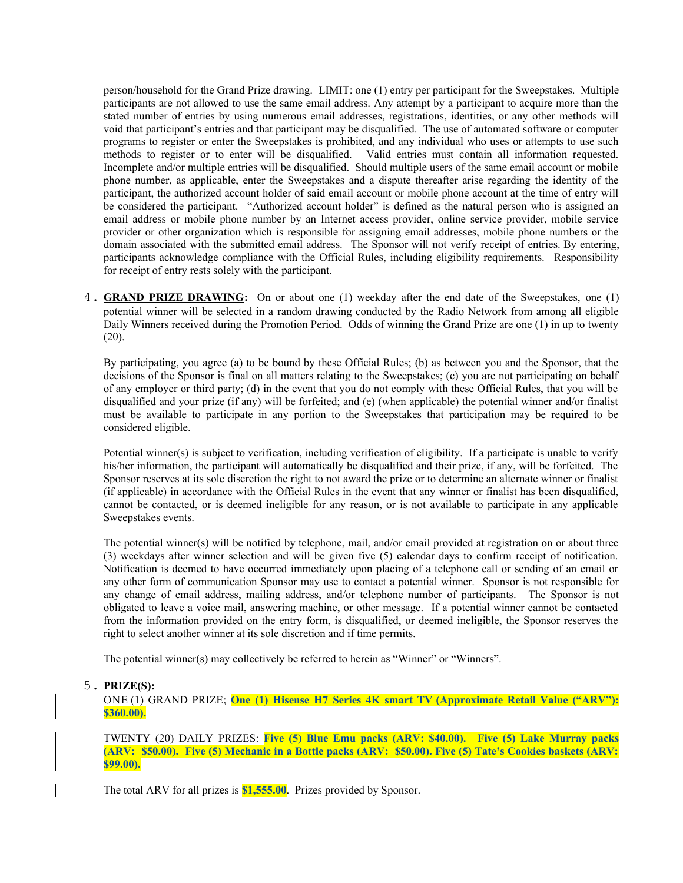person/household for the Grand Prize drawing. LIMIT: one (1) entry per participant for the Sweepstakes. Multiple participants are not allowed to use the same email address. Any attempt by a participant to acquire more than the stated number of entries by using numerous email addresses, registrations, identities, or any other methods will void that participant's entries and that participant may be disqualified. The use of automated software or computer programs to register or enter the Sweepstakes is prohibited, and any individual who uses or attempts to use such methods to register or to enter will be disqualified. Valid entries must contain all information requested. Incomplete and/or multiple entries will be disqualified. Should multiple users of the same email account or mobile phone number, as applicable, enter the Sweepstakes and a dispute thereafter arise regarding the identity of the participant, the authorized account holder of said email account or mobile phone account at the time of entry will be considered the participant. "Authorized account holder" is defined as the natural person who is assigned an email address or mobile phone number by an Internet access provider, online service provider, mobile service provider or other organization which is responsible for assigning email addresses, mobile phone numbers or the domain associated with the submitted email address. The Sponsor will not verify receipt of entries. By entering, participants acknowledge compliance with the Official Rules, including eligibility requirements. Responsibility for receipt of entry rests solely with the participant.

4. **GRAND PRIZE DRAWING:** On or about one (1) weekday after the end date of the Sweepstakes, one (1) potential winner will be selected in a random drawing conducted by the Radio Network from among all eligible Daily Winners received during the Promotion Period. Odds of winning the Grand Prize are one (1) in up to twenty (20).

By participating, you agree (a) to be bound by these Official Rules; (b) as between you and the Sponsor, that the decisions of the Sponsor is final on all matters relating to the Sweepstakes; (c) you are not participating on behalf of any employer or third party; (d) in the event that you do not comply with these Official Rules, that you will be disqualified and your prize (if any) will be forfeited; and (e) (when applicable) the potential winner and/or finalist must be available to participate in any portion to the Sweepstakes that participation may be required to be considered eligible.

Potential winner(s) is subject to verification, including verification of eligibility. If a participate is unable to verify his/her information, the participant will automatically be disqualified and their prize, if any, will be forfeited. The Sponsor reserves at its sole discretion the right to not award the prize or to determine an alternate winner or finalist (if applicable) in accordance with the Official Rules in the event that any winner or finalist has been disqualified, cannot be contacted, or is deemed ineligible for any reason, or is not available to participate in any applicable Sweepstakes events.

The potential winner(s) will be notified by telephone, mail, and/or email provided at registration on or about three (3) weekdays after winner selection and will be given five (5) calendar days to confirm receipt of notification. Notification is deemed to have occurred immediately upon placing of a telephone call or sending of an email or any other form of communication Sponsor may use to contact a potential winner. Sponsor is not responsible for any change of email address, mailing address, and/or telephone number of participants. The Sponsor is not obligated to leave a voice mail, answering machine, or other message. If a potential winner cannot be contacted from the information provided on the entry form, is disqualified, or deemed ineligible, the Sponsor reserves the right to select another winner at its sole discretion and if time permits.

The potential winner(s) may collectively be referred to herein as "Winner" or "Winners".

## 5. **PRIZE(S):**

 ONE (1) GRAND PRIZE; **One (1) Hisense H7 Series 4K smart TV (Approximate Retail Value ("ARV"): \$360.00).**

TWENTY (20) DAILY PRIZES: **Five (5) Blue Emu packs (ARV: \$40.00). Five (5) Lake Murray packs (ARV: \$50.00). Five (5) Mechanic in a Bottle packs (ARV: \$50.00). Five (5) Tate's Cookies baskets (ARV: \$99.00).**

The total ARV for all prizes is **\$1,555.00**. Prizes provided by Sponsor.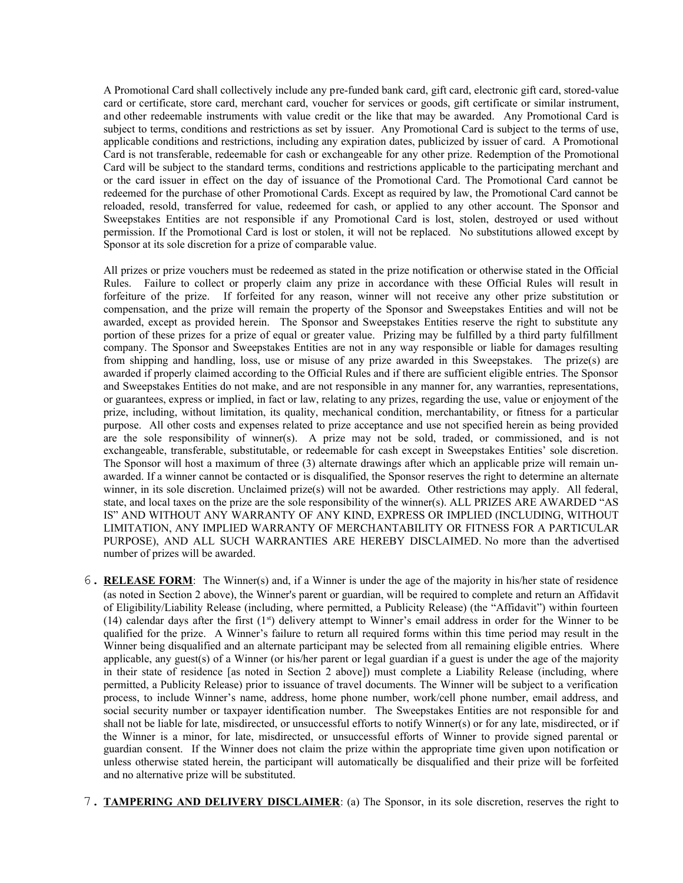A Promotional Card shall collectively include any pre-funded bank card, gift card, electronic gift card, stored-value card or certificate, store card, merchant card, voucher for services or goods, gift certificate or similar instrument, and other redeemable instruments with value credit or the like that may be awarded. Any Promotional Card is subject to terms, conditions and restrictions as set by issuer. Any Promotional Card is subject to the terms of use, applicable conditions and restrictions, including any expiration dates, publicized by issuer of card. A Promotional Card is not transferable, redeemable for cash or exchangeable for any other prize. Redemption of the Promotional Card will be subject to the standard terms, conditions and restrictions applicable to the participating merchant and or the card issuer in effect on the day of issuance of the Promotional Card. The Promotional Card cannot be redeemed for the purchase of other Promotional Cards. Except as required by law, the Promotional Card cannot be reloaded, resold, transferred for value, redeemed for cash, or applied to any other account. The Sponsor and Sweepstakes Entities are not responsible if any Promotional Card is lost, stolen, destroyed or used without permission. If the Promotional Card is lost or stolen, it will not be replaced. No substitutions allowed except by Sponsor at its sole discretion for a prize of comparable value.

All prizes or prize vouchers must be redeemed as stated in the prize notification or otherwise stated in the Official Rules. Failure to collect or properly claim any prize in accordance with these Official Rules will result in forfeiture of the prize. If forfeited for any reason, winner will not receive any other prize substitution or compensation, and the prize will remain the property of the Sponsor and Sweepstakes Entities and will not be awarded, except as provided herein. The Sponsor and Sweepstakes Entities reserve the right to substitute any portion of these prizes for a prize of equal or greater value. Prizing may be fulfilled by a third party fulfillment company. The Sponsor and Sweepstakes Entities are not in any way responsible or liable for damages resulting from shipping and handling, loss, use or misuse of any prize awarded in this Sweepstakes. The prize(s) are awarded if properly claimed according to the Official Rules and if there are sufficient eligible entries. The Sponsor and Sweepstakes Entities do not make, and are not responsible in any manner for, any warranties, representations, or guarantees, express or implied, in fact or law, relating to any prizes, regarding the use, value or enjoyment of the prize, including, without limitation, its quality, mechanical condition, merchantability, or fitness for a particular purpose. All other costs and expenses related to prize acceptance and use not specified herein as being provided are the sole responsibility of winner(s). A prize may not be sold, traded, or commissioned, and is not exchangeable, transferable, substitutable, or redeemable for cash except in Sweepstakes Entities' sole discretion. The Sponsor will host a maximum of three (3) alternate drawings after which an applicable prize will remain unawarded. If a winner cannot be contacted or is disqualified, the Sponsor reserves the right to determine an alternate winner, in its sole discretion. Unclaimed prize(s) will not be awarded. Other restrictions may apply. All federal, state, and local taxes on the prize are the sole responsibility of the winner(s). ALL PRIZES ARE AWARDED "AS IS" AND WITHOUT ANY WARRANTY OF ANY KIND, EXPRESS OR IMPLIED (INCLUDING, WITHOUT LIMITATION, ANY IMPLIED WARRANTY OF MERCHANTABILITY OR FITNESS FOR A PARTICULAR PURPOSE), AND ALL SUCH WARRANTIES ARE HEREBY DISCLAIMED. No more than the advertised number of prizes will be awarded.

- 6. **RELEASE FORM**: The Winner(s) and, if a Winner is under the age of the majority in his/her state of residence (as noted in Section 2 above), the Winner's parent or guardian, will be required to complete and return an Affidavit of Eligibility/Liability Release (including, where permitted, a Publicity Release) (the "Affidavit") within fourteen (14) calendar days after the first  $(1<sup>s</sup>)$  delivery attempt to Winner's email address in order for the Winner to be qualified for the prize. A Winner's failure to return all required forms within this time period may result in the Winner being disqualified and an alternate participant may be selected from all remaining eligible entries. Where applicable, any guest(s) of a Winner (or his/her parent or legal guardian if a guest is under the age of the majority in their state of residence [as noted in Section 2 above]) must complete a Liability Release (including, where permitted, a Publicity Release) prior to issuance of travel documents. The Winner will be subject to a verification process, to include Winner's name, address, home phone number, work/cell phone number, email address, and social security number or taxpayer identification number. The Sweepstakes Entities are not responsible for and shall not be liable for late, misdirected, or unsuccessful efforts to notify Winner(s) or for any late, misdirected, or if the Winner is a minor, for late, misdirected, or unsuccessful efforts of Winner to provide signed parental or guardian consent. If the Winner does not claim the prize within the appropriate time given upon notification or unless otherwise stated herein, the participant will automatically be disqualified and their prize will be forfeited and no alternative prize will be substituted.
- 7. **TAMPERING AND DELIVERY DISCLAIMER**: (a) The Sponsor, in its sole discretion, reserves the right to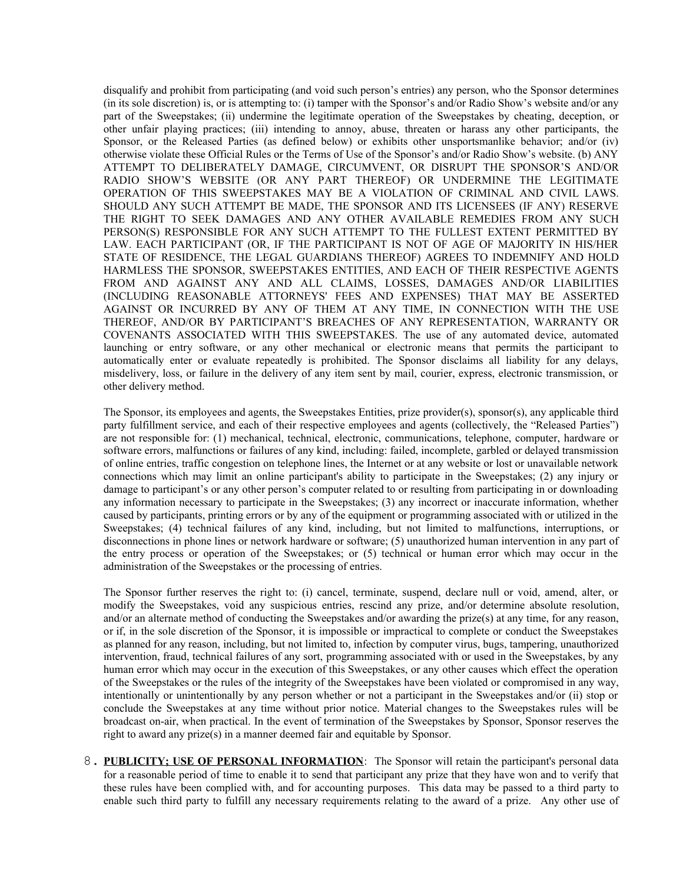disqualify and prohibit from participating (and void such person's entries) any person, who the Sponsor determines (in its sole discretion) is, or is attempting to: (i) tamper with the Sponsor's and/or Radio Show's website and/or any part of the Sweepstakes; (ii) undermine the legitimate operation of the Sweepstakes by cheating, deception, or other unfair playing practices; (iii) intending to annoy, abuse, threaten or harass any other participants, the Sponsor, or the Released Parties (as defined below) or exhibits other unsportsmanlike behavior; and/or (iv) otherwise violate these Official Rules or the Terms of Use of the Sponsor's and/or Radio Show's website. (b) ANY ATTEMPT TO DELIBERATELY DAMAGE, CIRCUMVENT, OR DISRUPT THE SPONSOR'S AND/OR RADIO SHOW'S WEBSITE (OR ANY PART THEREOF) OR UNDERMINE THE LEGITIMATE OPERATION OF THIS SWEEPSTAKES MAY BE A VIOLATION OF CRIMINAL AND CIVIL LAWS. SHOULD ANY SUCH ATTEMPT BE MADE, THE SPONSOR AND ITS LICENSEES (IF ANY) RESERVE THE RIGHT TO SEEK DAMAGES AND ANY OTHER AVAILABLE REMEDIES FROM ANY SUCH PERSON(S) RESPONSIBLE FOR ANY SUCH ATTEMPT TO THE FULLEST EXTENT PERMITTED BY LAW. EACH PARTICIPANT (OR, IF THE PARTICIPANT IS NOT OF AGE OF MAJORITY IN HIS/HER STATE OF RESIDENCE, THE LEGAL GUARDIANS THEREOF) AGREES TO INDEMNIFY AND HOLD HARMLESS THE SPONSOR, SWEEPSTAKES ENTITIES, AND EACH OF THEIR RESPECTIVE AGENTS FROM AND AGAINST ANY AND ALL CLAIMS, LOSSES, DAMAGES AND/OR LIABILITIES (INCLUDING REASONABLE ATTORNEYS' FEES AND EXPENSES) THAT MAY BE ASSERTED AGAINST OR INCURRED BY ANY OF THEM AT ANY TIME, IN CONNECTION WITH THE USE THEREOF, AND/OR BY PARTICIPANT'S BREACHES OF ANY REPRESENTATION, WARRANTY OR COVENANTS ASSOCIATED WITH THIS SWEEPSTAKES. The use of any automated device, automated launching or entry software, or any other mechanical or electronic means that permits the participant to automatically enter or evaluate repeatedly is prohibited. The Sponsor disclaims all liability for any delays, misdelivery, loss, or failure in the delivery of any item sent by mail, courier, express, electronic transmission, or other delivery method.

The Sponsor, its employees and agents, the Sweepstakes Entities, prize provider(s), sponsor(s), any applicable third party fulfillment service, and each of their respective employees and agents (collectively, the "Released Parties") are not responsible for: (1) mechanical, technical, electronic, communications, telephone, computer, hardware or software errors, malfunctions or failures of any kind, including: failed, incomplete, garbled or delayed transmission of online entries, traffic congestion on telephone lines, the Internet or at any website or lost or unavailable network connections which may limit an online participant's ability to participate in the Sweepstakes; (2) any injury or damage to participant's or any other person's computer related to or resulting from participating in or downloading any information necessary to participate in the Sweepstakes; (3) any incorrect or inaccurate information, whether caused by participants, printing errors or by any of the equipment or programming associated with or utilized in the Sweepstakes; (4) technical failures of any kind, including, but not limited to malfunctions, interruptions, or disconnections in phone lines or network hardware or software; (5) unauthorized human intervention in any part of the entry process or operation of the Sweepstakes; or (5) technical or human error which may occur in the administration of the Sweepstakes or the processing of entries.

The Sponsor further reserves the right to: (i) cancel, terminate, suspend, declare null or void, amend, alter, or modify the Sweepstakes, void any suspicious entries, rescind any prize, and/or determine absolute resolution, and/or an alternate method of conducting the Sweepstakes and/or awarding the prize(s) at any time, for any reason, or if, in the sole discretion of the Sponsor, it is impossible or impractical to complete or conduct the Sweepstakes as planned for any reason, including, but not limited to, infection by computer virus, bugs, tampering, unauthorized intervention, fraud, technical failures of any sort, programming associated with or used in the Sweepstakes, by any human error which may occur in the execution of this Sweepstakes, or any other causes which effect the operation of the Sweepstakes or the rules of the integrity of the Sweepstakes have been violated or compromised in any way, intentionally or unintentionally by any person whether or not a participant in the Sweepstakes and/or (ii) stop or conclude the Sweepstakes at any time without prior notice. Material changes to the Sweepstakes rules will be broadcast on-air, when practical. In the event of termination of the Sweepstakes by Sponsor, Sponsor reserves the right to award any prize(s) in a manner deemed fair and equitable by Sponsor.

8. **PUBLICITY; USE OF PERSONAL INFORMATION**: The Sponsor will retain the participant's personal data for a reasonable period of time to enable it to send that participant any prize that they have won and to verify that these rules have been complied with, and for accounting purposes. This data may be passed to a third party to enable such third party to fulfill any necessary requirements relating to the award of a prize. Any other use of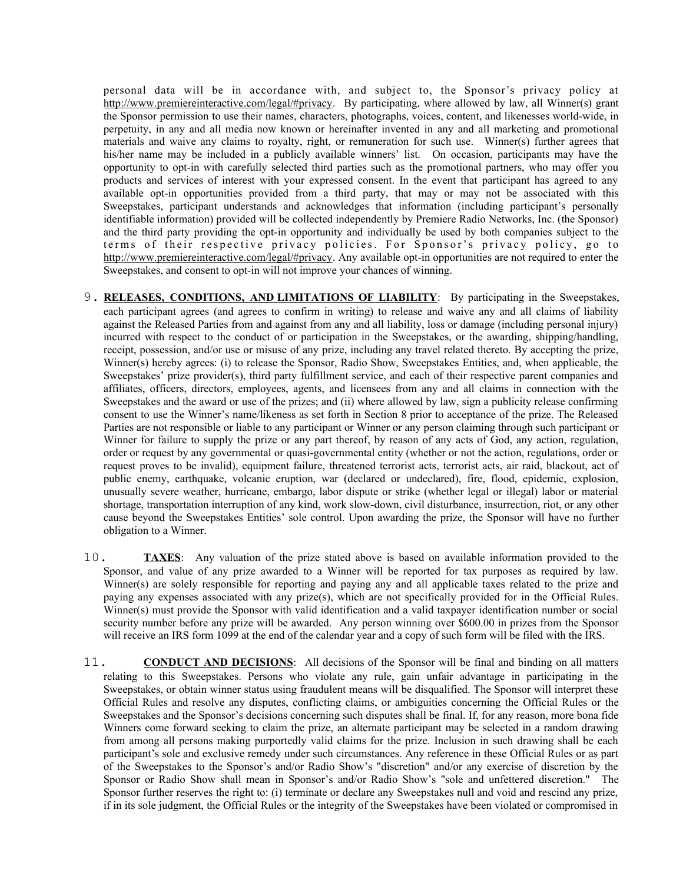personal data will be in accordance with, and subject to, the Sponsor's privacy policy at http://www.premiereinteractive.com/legal/#privacy. By participating, where allowed by law, all Winner(s) grant the Sponsor permission to use their names, characters, photographs, voices, content, and likenesses world-wide, in perpetuity, in any and all media now known or hereinafter invented in any and all marketing and promotional materials and waive any claims to royalty, right, or remuneration for such use. Winner(s) further agrees that his/her name may be included in a publicly available winners' list. On occasion, participants may have the opportunity to opt-in with carefully selected third parties such as the promotional partners, who may offer you products and services of interest with your expressed consent. In the event that participant has agreed to any available opt-in opportunities provided from a third party, that may or may not be associated with this Sweepstakes, participant understands and acknowledges that information (including participant's personally identifiable information) provided will be collected independently by Premiere Radio Networks, Inc. (the Sponsor) and the third party providing the opt-in opportunity and individually be used by both companies subject to the terms of their respective privacy policies. For Sponsor's privacy policy, go to http://www.premiereinteractive.com/legal/#privacy. Any available opt-in opportunities are not required to enter the Sweepstakes, and consent to opt-in will not improve your chances of winning.

- 9. **RELEASES, CONDITIONS, AND LIMITATIONS OF LIABILITY**: By participating in the Sweepstakes, each participant agrees (and agrees to confirm in writing) to release and waive any and all claims of liability against the Released Parties from and against from any and all liability, loss or damage (including personal injury) incurred with respect to the conduct of or participation in the Sweepstakes, or the awarding, shipping/handling, receipt, possession, and/or use or misuse of any prize, including any travel related thereto. By accepting the prize, Winner(s) hereby agrees: (i) to release the Sponsor, Radio Show, Sweepstakes Entities, and, when applicable, the Sweepstakes' prize provider(s), third party fulfillment service, and each of their respective parent companies and affiliates, officers, directors, employees, agents, and licensees from any and all claims in connection with the Sweepstakes and the award or use of the prizes; and (ii) where allowed by law, sign a publicity release confirming consent to use the Winner's name/likeness as set forth in Section 8 prior to acceptance of the prize. The Released Parties are not responsible or liable to any participant or Winner or any person claiming through such participant or Winner for failure to supply the prize or any part thereof, by reason of any acts of God, any action, regulation, order or request by any governmental or quasi-governmental entity (whether or not the action, regulations, order or request proves to be invalid), equipment failure, threatened terrorist acts, terrorist acts, air raid, blackout, act of public enemy, earthquake, volcanic eruption, war (declared or undeclared), fire, flood, epidemic, explosion, unusually severe weather, hurricane, embargo, labor dispute or strike (whether legal or illegal) labor or material shortage, transportation interruption of any kind, work slow-down, civil disturbance, insurrection, riot, or any other cause beyond the Sweepstakes Entities' sole control. Upon awarding the prize, the Sponsor will have no further obligation to a Winner.
- 10. **TAXES**: Any valuation of the prize stated above is based on available information provided to the Sponsor, and value of any prize awarded to a Winner will be reported for tax purposes as required by law. Winner(s) are solely responsible for reporting and paying any and all applicable taxes related to the prize and paying any expenses associated with any prize(s), which are not specifically provided for in the Official Rules. Winner(s) must provide the Sponsor with valid identification and a valid taxpayer identification number or social security number before any prize will be awarded. Any person winning over \$600.00 in prizes from the Sponsor will receive an IRS form 1099 at the end of the calendar year and a copy of such form will be filed with the IRS.
- 11. **CONDUCT AND DECISIONS**: All decisions of the Sponsor will be final and binding on all matters relating to this Sweepstakes. Persons who violate any rule, gain unfair advantage in participating in the Sweepstakes, or obtain winner status using fraudulent means will be disqualified. The Sponsor will interpret these Official Rules and resolve any disputes, conflicting claims, or ambiguities concerning the Official Rules or the Sweepstakes and the Sponsor's decisions concerning such disputes shall be final. If, for any reason, more bona fide Winners come forward seeking to claim the prize, an alternate participant may be selected in a random drawing from among all persons making purportedly valid claims for the prize. Inclusion in such drawing shall be each participant's sole and exclusive remedy under such circumstances. Any reference in these Official Rules or as part of the Sweepstakes to the Sponsor's and/or Radio Show's "discretion" and/or any exercise of discretion by the Sponsor or Radio Show shall mean in Sponsor's and/or Radio Show's "sole and unfettered discretion." The Sponsor further reserves the right to: (i) terminate or declare any Sweepstakes null and void and rescind any prize, if in its sole judgment, the Official Rules or the integrity of the Sweepstakes have been violated or compromised in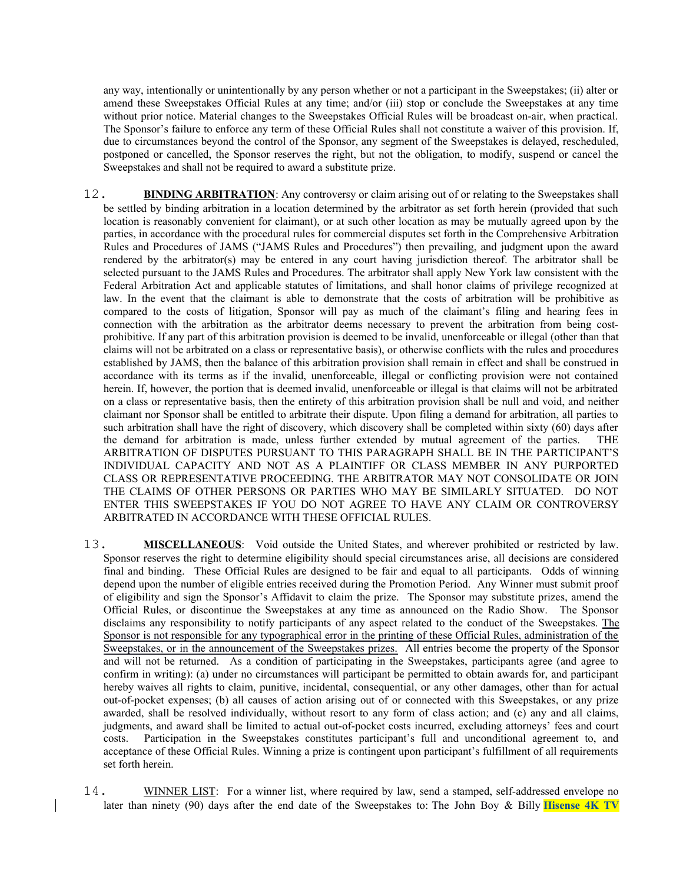any way, intentionally or unintentionally by any person whether or not a participant in the Sweepstakes; (ii) alter or amend these Sweepstakes Official Rules at any time; and/or (iii) stop or conclude the Sweepstakes at any time without prior notice. Material changes to the Sweepstakes Official Rules will be broadcast on-air, when practical. The Sponsor's failure to enforce any term of these Official Rules shall not constitute a waiver of this provision. If, due to circumstances beyond the control of the Sponsor, any segment of the Sweepstakes is delayed, rescheduled, postponed or cancelled, the Sponsor reserves the right, but not the obligation, to modify, suspend or cancel the Sweepstakes and shall not be required to award a substitute prize.

- 12. **BINDING ARBITRATION**: Any controversy or claim arising out of or relating to the Sweepstakes shall be settled by binding arbitration in a location determined by the arbitrator as set forth herein (provided that such location is reasonably convenient for claimant), or at such other location as may be mutually agreed upon by the parties, in accordance with the procedural rules for commercial disputes set forth in the Comprehensive Arbitration Rules and Procedures of JAMS ("JAMS Rules and Procedures") then prevailing, and judgment upon the award rendered by the arbitrator(s) may be entered in any court having jurisdiction thereof. The arbitrator shall be selected pursuant to the JAMS Rules and Procedures. The arbitrator shall apply New York law consistent with the Federal Arbitration Act and applicable statutes of limitations, and shall honor claims of privilege recognized at law. In the event that the claimant is able to demonstrate that the costs of arbitration will be prohibitive as compared to the costs of litigation, Sponsor will pay as much of the claimant's filing and hearing fees in connection with the arbitration as the arbitrator deems necessary to prevent the arbitration from being costprohibitive. If any part of this arbitration provision is deemed to be invalid, unenforceable or illegal (other than that claims will not be arbitrated on a class or representative basis), or otherwise conflicts with the rules and procedures established by JAMS, then the balance of this arbitration provision shall remain in effect and shall be construed in accordance with its terms as if the invalid, unenforceable, illegal or conflicting provision were not contained herein. If, however, the portion that is deemed invalid, unenforceable or illegal is that claims will not be arbitrated on a class or representative basis, then the entirety of this arbitration provision shall be null and void, and neither claimant nor Sponsor shall be entitled to arbitrate their dispute. Upon filing a demand for arbitration, all parties to such arbitration shall have the right of discovery, which discovery shall be completed within sixty (60) days after the demand for arbitration is made, unless further extended by mutual agreement of the parties. THE ARBITRATION OF DISPUTES PURSUANT TO THIS PARAGRAPH SHALL BE IN THE PARTICIPANT'S INDIVIDUAL CAPACITY AND NOT AS A PLAINTIFF OR CLASS MEMBER IN ANY PURPORTED CLASS OR REPRESENTATIVE PROCEEDING. THE ARBITRATOR MAY NOT CONSOLIDATE OR JOIN THE CLAIMS OF OTHER PERSONS OR PARTIES WHO MAY BE SIMILARLY SITUATED. DO NOT ENTER THIS SWEEPSTAKES IF YOU DO NOT AGREE TO HAVE ANY CLAIM OR CONTROVERSY ARBITRATED IN ACCORDANCE WITH THESE OFFICIAL RULES.
- 13. **MISCELLANEOUS**: Void outside the United States, and wherever prohibited or restricted by law. Sponsor reserves the right to determine eligibility should special circumstances arise, all decisions are considered final and binding. These Official Rules are designed to be fair and equal to all participants. Odds of winning depend upon the number of eligible entries received during the Promotion Period. Any Winner must submit proof of eligibility and sign the Sponsor's Affidavit to claim the prize. The Sponsor may substitute prizes, amend the Official Rules, or discontinue the Sweepstakes at any time as announced on the Radio Show. The Sponsor disclaims any responsibility to notify participants of any aspect related to the conduct of the Sweepstakes. The Sponsor is not responsible for any typographical error in the printing of these Official Rules, administration of the Sweepstakes, or in the announcement of the Sweepstakes prizes. All entries become the property of the Sponsor and will not be returned. As a condition of participating in the Sweepstakes, participants agree (and agree to confirm in writing): (a) under no circumstances will participant be permitted to obtain awards for, and participant hereby waives all rights to claim, punitive, incidental, consequential, or any other damages, other than for actual out-of-pocket expenses; (b) all causes of action arising out of or connected with this Sweepstakes, or any prize awarded, shall be resolved individually, without resort to any form of class action; and (c) any and all claims, judgments, and award shall be limited to actual out-of-pocket costs incurred, excluding attorneys' fees and court costs. Participation in the Sweepstakes constitutes participant's full and unconditional agreement to, and acceptance of these Official Rules. Winning a prize is contingent upon participant's fulfillment of all requirements set forth herein.
- 14. WINNER LIST: For a winner list, where required by law, send a stamped, self-addressed envelope no later than ninety (90) days after the end date of the Sweepstakes to: The John Boy & Billy **Hisense 4K TV**